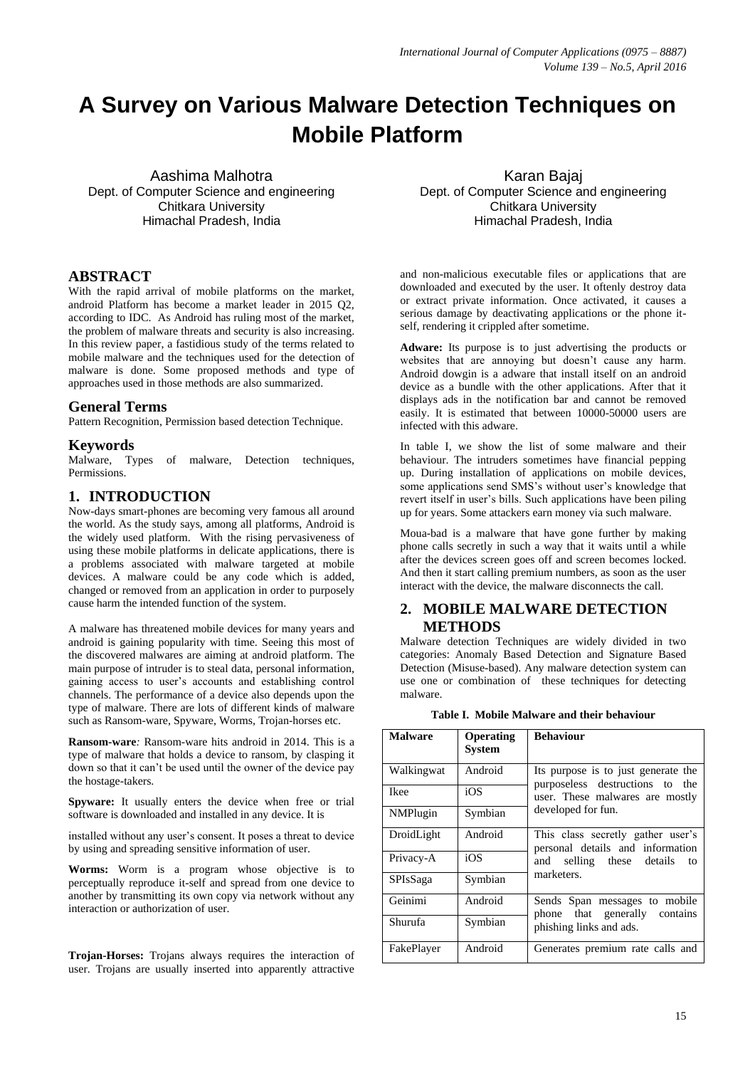# **A Survey on Various Malware Detection Techniques on Mobile Platform**

Aashima Malhotra Dept. of Computer Science and engineering Chitkara University Himachal Pradesh, India

# **ABSTRACT**

With the rapid arrival of mobile platforms on the market, android Platform has become a market leader in 2015 Q2, according to IDC. As Android has ruling most of the market, the problem of malware threats and security is also increasing. In this review paper, a fastidious study of the terms related to mobile malware and the techniques used for the detection of malware is done. Some proposed methods and type of approaches used in those methods are also summarized.

#### **General Terms**

Pattern Recognition, Permission based detection Technique.

#### **Keywords**

Malware, Types of malware, Detection techniques, Permissions.

#### **1. INTRODUCTION**

Now-days smart-phones are becoming very famous all around the world. As the study says, among all platforms, Android is the widely used platform. With the rising pervasiveness of using these mobile platforms in delicate applications, there is a problems associated with malware targeted at mobile devices. A malware could be any code which is added, changed or removed from an application in order to purposely cause harm the intended function of the system.

A malware has threatened mobile devices for many years and android is gaining popularity with time. Seeing this most of the discovered malwares are aiming at android platform. The main purpose of intruder is to steal data, personal information, gaining access to user's accounts and establishing control channels. The performance of a device also depends upon the type of malware. There are lots of different kinds of malware such as Ransom-ware, Spyware, Worms, Trojan-horses etc.

**Ransom-ware***:* Ransom-ware hits android in 2014. This is a type of malware that holds a device to ransom, by clasping it down so that it can't be used until the owner of the device pay the hostage-takers.

**Spyware:** It usually enters the device when free or trial software is downloaded and installed in any device. It is

installed without any user's consent. It poses a threat to device by using and spreading sensitive information of user.

**Worms:** Worm is a program whose objective is to perceptually reproduce it-self and spread from one device to another by transmitting its own copy via network without any interaction or authorization of user.

**Trojan-Horses:** Trojans always requires the interaction of user. Trojans are usually inserted into apparently attractive

Karan Bajaj Dept. of Computer Science and engineering Chitkara University Himachal Pradesh, India

and non-malicious executable files or applications that are downloaded and executed by the user. It oftenly destroy data or extract private information. Once activated, it causes a serious damage by deactivating applications or the phone itself, rendering it crippled after sometime.

**Adware:** Its purpose is to just advertising the products or websites that are annoying but doesn't cause any harm. Android dowgin is a adware that install itself on an android device as a bundle with the other applications. After that it displays ads in the notification bar and cannot be removed easily. It is estimated that between 10000-50000 users are infected with this adware.

In table I, we show the list of some malware and their behaviour. The intruders sometimes have financial pepping up. During installation of applications on mobile devices, some applications send SMS's without user's knowledge that revert itself in user's bills. Such applications have been piling up for years. Some attackers earn money via such malware.

Moua-bad is a malware that have gone further by making phone calls secretly in such a way that it waits until a while after the devices screen goes off and screen becomes locked. And then it start calling premium numbers, as soon as the user interact with the device, the malware disconnects the call.

# **2. MOBILE MALWARE DETECTION METHODS**

Malware detection Techniques are widely divided in two categories: Anomaly Based Detection and Signature Based Detection (Misuse-based). Any malware detection system can use one or combination of these techniques for detecting malware.

| <b>Malware</b>   | Operating<br><b>System</b> | <b>Behaviour</b>                                                                                          |  |  |  |
|------------------|----------------------------|-----------------------------------------------------------------------------------------------------------|--|--|--|
| Walkingwat       | Android                    | Its purpose is to just generate the<br>purposeless destructions to the<br>user. These malwares are mostly |  |  |  |
| <b>Ikee</b>      | iOS                        |                                                                                                           |  |  |  |
| <b>NMP</b> lugin | Symbian                    | developed for fun.                                                                                        |  |  |  |
| DroidLight       | Android                    | This class secretly gather user's<br>personal details and information                                     |  |  |  |
| Privacy-A        | iOS                        | selling these details to<br>and<br>marketers.                                                             |  |  |  |
| <b>SPIsSaga</b>  | Symbian                    |                                                                                                           |  |  |  |
| Geinimi          | Android                    | Sends Span messages to mobile<br>phone that generally contains                                            |  |  |  |
| Shurufa          | Symbian                    | phishing links and ads.                                                                                   |  |  |  |
| FakePlayer       | Android                    | Generates premium rate calls and                                                                          |  |  |  |

**Table I. Mobile Malware and their behaviour**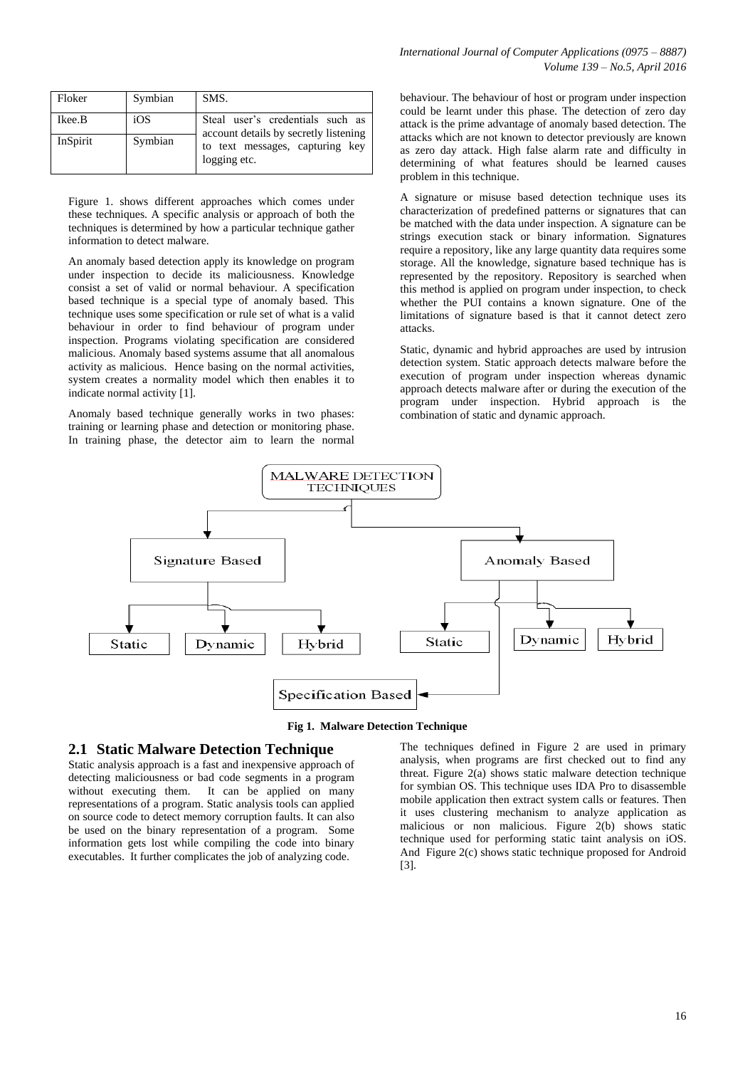| Floker   | Symbian | SMS.                                                                      |
|----------|---------|---------------------------------------------------------------------------|
| Ikee.B   | iOS     | Steal user's credentials such as<br>account details by secretly listening |
| InSpirit | Symbian | to text messages, capturing key<br>logging etc.                           |

Figure 1. shows different approaches which comes under these techniques. A specific analysis or approach of both the techniques is determined by how a particular technique gather information to detect malware.

An anomaly based detection apply its knowledge on program under inspection to decide its maliciousness. Knowledge consist a set of valid or normal behaviour. A specification based technique is a special type of anomaly based. This technique uses some specification or rule set of what is a valid behaviour in order to find behaviour of program under inspection. Programs violating specification are considered malicious. Anomaly based systems assume that all anomalous activity as malicious. Hence basing on the normal activities, system creates a normality model which then enables it to indicate normal activity [1].

Anomaly based technique generally works in two phases: training or learning phase and detection or monitoring phase. In training phase, the detector aim to learn the normal behaviour. The behaviour of host or program under inspection could be learnt under this phase. The detection of zero day attack is the prime advantage of anomaly based detection. The attacks which are not known to detector previously are known as zero day attack. High false alarm rate and difficulty in determining of what features should be learned causes problem in this technique.

A signature or misuse based detection technique uses its characterization of predefined patterns or signatures that can be matched with the data under inspection. A signature can be strings execution stack or binary information. Signatures require a repository, like any large quantity data requires some storage. All the knowledge, signature based technique has is represented by the repository. Repository is searched when this method is applied on program under inspection, to check whether the PUI contains a known signature. One of the limitations of signature based is that it cannot detect zero attacks.

Static, dynamic and hybrid approaches are used by intrusion detection system. Static approach detects malware before the execution of program under inspection whereas dynamic approach detects malware after or during the execution of the program under inspection. Hybrid approach is the combination of static and dynamic approach.



**Fig 1. Malware Detection Technique**

#### **2.1 Static Malware Detection Technique**

Static analysis approach is a fast and inexpensive approach of detecting maliciousness or bad code segments in a program without executing them. It can be applied on many representations of a program. Static analysis tools can applied on source code to detect memory corruption faults. It can also be used on the binary representation of a program. Some information gets lost while compiling the code into binary executables. It further complicates the job of analyzing code.

The techniques defined in Figure 2 are used in primary analysis, when programs are first checked out to find any threat. Figure 2(a) shows static malware detection technique for symbian OS. This technique uses IDA Pro to disassemble mobile application then extract system calls or features. Then it uses clustering mechanism to analyze application as malicious or non malicious. Figure 2(b) shows static technique used for performing static taint analysis on iOS. And Figure 2(c) shows static technique proposed for Android [3].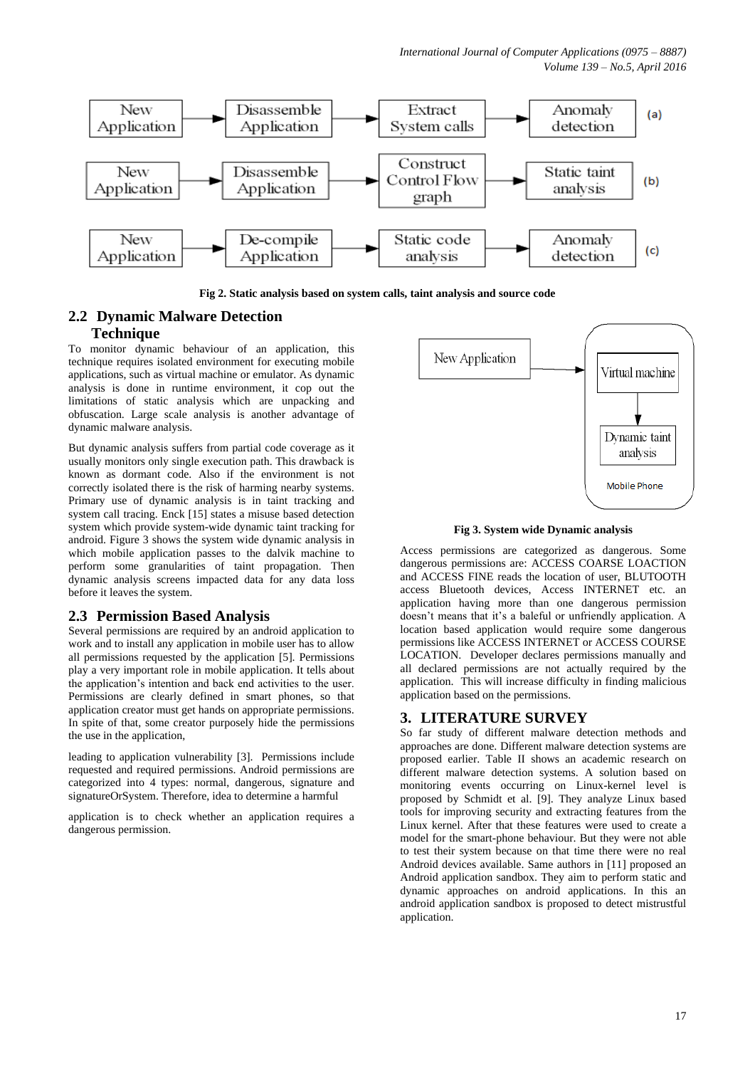

**Fig 2. Static analysis based on system calls, taint analysis and source code**

# **2.2 Dynamic Malware Detection Technique**

To monitor dynamic behaviour of an application, this technique requires isolated environment for executing mobile applications, such as virtual machine or emulator. As dynamic analysis is done in runtime environment, it cop out the limitations of static analysis which are unpacking and obfuscation. Large scale analysis is another advantage of dynamic malware analysis.

But dynamic analysis suffers from partial code coverage as it usually monitors only single execution path. This drawback is known as dormant code. Also if the environment is not correctly isolated there is the risk of harming nearby systems. Primary use of dynamic analysis is in taint tracking and system call tracing. Enck [15] states a misuse based detection system which provide system-wide dynamic taint tracking for android. Figure 3 shows the system wide dynamic analysis in which mobile application passes to the dalvik machine to perform some granularities of taint propagation. Then dynamic analysis screens impacted data for any data loss before it leaves the system.

# **2.3 Permission Based Analysis**

Several permissions are required by an android application to work and to install any application in mobile user has to allow all permissions requested by the application [5]. Permissions play a very important role in mobile application. It tells about the application's intention and back end activities to the user. Permissions are clearly defined in smart phones, so that application creator must get hands on appropriate permissions. In spite of that, some creator purposely hide the permissions the use in the application,

leading to application vulnerability [3]. Permissions include requested and required permissions. Android permissions are categorized into 4 types: normal, dangerous, signature and signatureOrSystem. Therefore, idea to determine a harmful

application is to check whether an application requires a dangerous permission.



#### **Fig 3. System wide Dynamic analysis**

Access permissions are categorized as dangerous. Some dangerous permissions are: ACCESS COARSE LOACTION and ACCESS FINE reads the location of user, BLUTOOTH access Bluetooth devices, Access INTERNET etc. an application having more than one dangerous permission doesn't means that it's a baleful or unfriendly application. A location based application would require some dangerous permissions like ACCESS INTERNET or ACCESS COURSE LOCATION. Developer declares permissions manually and all declared permissions are not actually required by the application. This will increase difficulty in finding malicious application based on the permissions.

# **3. LITERATURE SURVEY**

So far study of different malware detection methods and approaches are done. Different malware detection systems are proposed earlier. Table II shows an academic research on different malware detection systems. A solution based on monitoring events occurring on Linux-kernel level is proposed by Schmidt et al. [9]. They analyze Linux based tools for improving security and extracting features from the Linux kernel. After that these features were used to create a model for the smart-phone behaviour. But they were not able to test their system because on that time there were no real Android devices available. Same authors in [11] proposed an Android application sandbox. They aim to perform static and dynamic approaches on android applications. In this an android application sandbox is proposed to detect mistrustful application.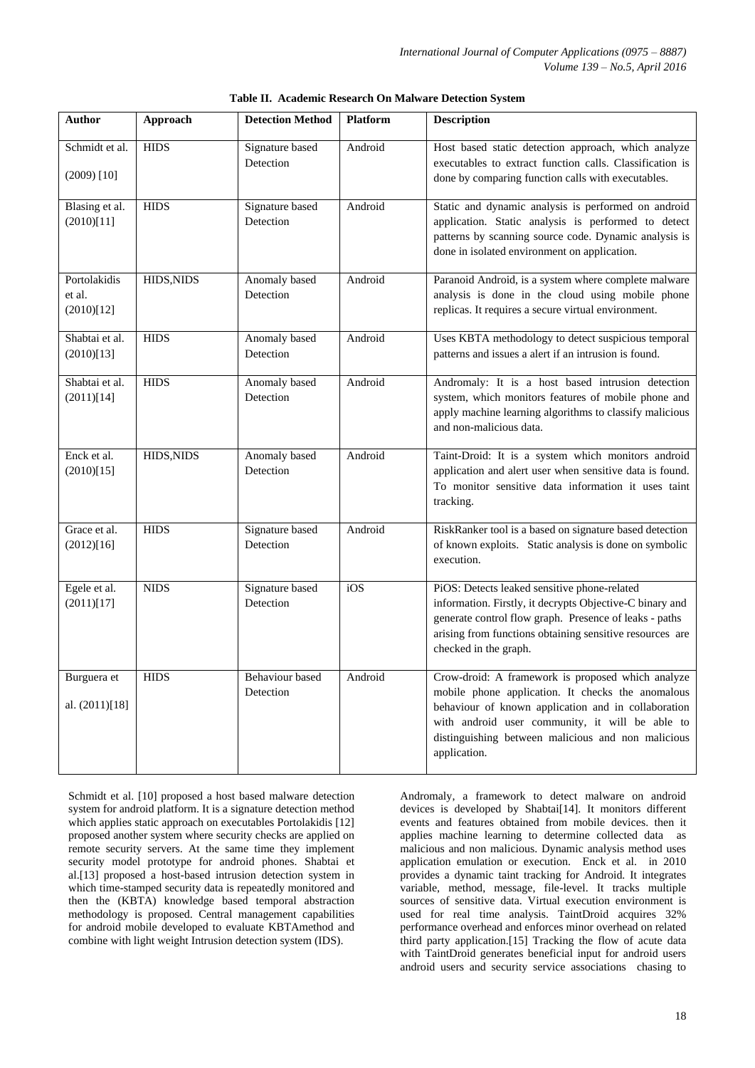| <b>Author</b>                        | Approach    | <b>Detection Method</b>      | <b>Platform</b> | <b>Description</b>                                                                                                                                                                                                                                                                     |  |  |
|--------------------------------------|-------------|------------------------------|-----------------|----------------------------------------------------------------------------------------------------------------------------------------------------------------------------------------------------------------------------------------------------------------------------------------|--|--|
| Schmidt et al.<br>$(2009)$ [10]      | <b>HIDS</b> | Signature based<br>Detection | Android         | Host based static detection approach, which analyze<br>executables to extract function calls. Classification is<br>done by comparing function calls with executables.                                                                                                                  |  |  |
| Blasing et al.<br>(2010)[11]         | <b>HIDS</b> | Signature based<br>Detection | Android         | Static and dynamic analysis is performed on android<br>application. Static analysis is performed to detect<br>patterns by scanning source code. Dynamic analysis is<br>done in isolated environment on application.                                                                    |  |  |
| Portolakidis<br>et al.<br>(2010)[12] | HIDS, NIDS  | Anomaly based<br>Detection   | Android         | Paranoid Android, is a system where complete malware<br>analysis is done in the cloud using mobile phone<br>replicas. It requires a secure virtual environment.                                                                                                                        |  |  |
| Shabtai et al.<br>(2010)[13]         | <b>HIDS</b> | Anomaly based<br>Detection   | Android         | Uses KBTA methodology to detect suspicious temporal<br>patterns and issues a alert if an intrusion is found.                                                                                                                                                                           |  |  |
| Shabtai et al.<br>(2011)[14]         | <b>HIDS</b> | Anomaly based<br>Detection   | Android         | Andromaly: It is a host based intrusion detection<br>system, which monitors features of mobile phone and<br>apply machine learning algorithms to classify malicious<br>and non-malicious data.                                                                                         |  |  |
| Enck et al.<br>(2010)[15]            | HIDS, NIDS  | Anomaly based<br>Detection   | Android         | Taint-Droid: It is a system which monitors android<br>application and alert user when sensitive data is found.<br>To monitor sensitive data information it uses taint<br>tracking.                                                                                                     |  |  |
| Grace et al.<br>(2012)[16]           | <b>HIDS</b> | Signature based<br>Detection | Android         | RiskRanker tool is a based on signature based detection<br>of known exploits. Static analysis is done on symbolic<br>execution.                                                                                                                                                        |  |  |
| Egele et al.<br>(2011)[17]           | <b>NIDS</b> | Signature based<br>Detection | iOS             | PiOS: Detects leaked sensitive phone-related<br>information. Firstly, it decrypts Objective-C binary and<br>generate control flow graph. Presence of leaks - paths<br>arising from functions obtaining sensitive resources are<br>checked in the graph.                                |  |  |
| Burguera et<br>al. (2011)[18]        | <b>HIDS</b> | Behaviour based<br>Detection | Android         | Crow-droid: A framework is proposed which analyze<br>mobile phone application. It checks the anomalous<br>behaviour of known application and in collaboration<br>with android user community, it will be able to<br>distinguishing between malicious and non malicious<br>application. |  |  |

|  | Table II. Academic Research On Malware Detection System |  |  |  |  |  |
|--|---------------------------------------------------------|--|--|--|--|--|
|--|---------------------------------------------------------|--|--|--|--|--|

Schmidt et al. [10] proposed a host based malware detection system for android platform. It is a signature detection method which applies static approach on executables Portolakidis [12] proposed another system where security checks are applied on remote security servers. At the same time they implement security model prototype for android phones. Shabtai et al.[13] proposed a host-based intrusion detection system in which time-stamped security data is repeatedly monitored and then the (KBTA) knowledge based temporal abstraction methodology is proposed. Central management capabilities for android mobile developed to evaluate KBTAmethod and combine with light weight Intrusion detection system (IDS).

Andromaly, a framework to detect malware on android devices is developed by Shabtai[14]. It monitors different events and features obtained from mobile devices. then it applies machine learning to determine collected data as malicious and non malicious. Dynamic analysis method uses application emulation or execution. Enck et al. in 2010 provides a dynamic taint tracking for Android. It integrates variable, method, message, file-level. It tracks multiple sources of sensitive data. Virtual execution environment is used for real time analysis. TaintDroid acquires 32% performance overhead and enforces minor overhead on related third party application.[15] Tracking the flow of acute data with TaintDroid generates beneficial input for android users android users and security service associations chasing to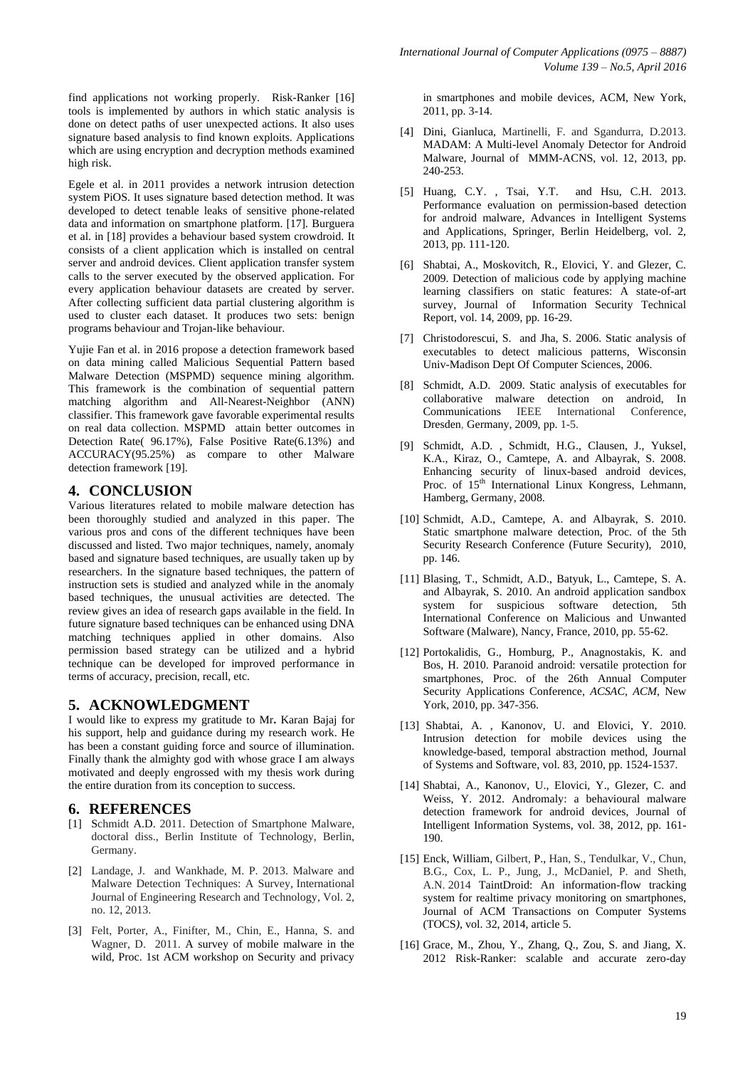find applications not working properly. Risk-Ranker [16] tools is implemented by authors in which static analysis is done on detect paths of user unexpected actions. It also uses signature based analysis to find known exploits. Applications which are using encryption and decryption methods examined high risk.

Egele et al. in 2011 provides a network intrusion detection system PiOS. It uses signature based detection method. It was developed to detect tenable leaks of sensitive phone-related data and information on smartphone platform. [17]. Burguera et al. in [18] provides a behaviour based system crowdroid. It consists of a client application which is installed on central server and android devices. Client application transfer system calls to the server executed by the observed application. For every application behaviour datasets are created by server. After collecting sufficient data partial clustering algorithm is used to cluster each dataset. It produces two sets: benign programs behaviour and Trojan-like behaviour.

Yujie Fan et al. in 2016 propose a detection framework based on data mining called Malicious Sequential Pattern based Malware Detection (MSPMD) sequence mining algorithm. This framework is the combination of sequential pattern matching algorithm and All-Nearest-Neighbor (ANN) classifier. This framework gave favorable experimental results on real data collection. MSPMD attain better outcomes in Detection Rate( 96.17%), False Positive Rate(6.13%) and ACCURACY(95.25%) as compare to other Malware detection framework [19].

### **4. CONCLUSION**

Various literatures related to mobile malware detection has been thoroughly studied and analyzed in this paper. The various pros and cons of the different techniques have been discussed and listed. Two major techniques, namely, anomaly based and signature based techniques, are usually taken up by researchers. In the signature based techniques, the pattern of instruction sets is studied and analyzed while in the anomaly based techniques, the unusual activities are detected. The review gives an idea of research gaps available in the field. In future signature based techniques can be enhanced using DNA matching techniques applied in other domains. Also permission based strategy can be utilized and a hybrid technique can be developed for improved performance in terms of accuracy, precision, recall, etc.

# **5. ACKNOWLEDGMENT**

I would like to express my gratitude to Mr**.** Karan Bajaj for his support, help and guidance during my research work. He has been a constant guiding force and source of illumination. Finally thank the almighty god with whose grace I am always motivated and deeply engrossed with my thesis work during the entire duration from its conception to success.

#### **6. REFERENCES**

- [1] Schmidt A.D. 2011. Detection of Smartphone Malware, doctoral diss., Berlin Institute of Technology, Berlin, Germany.
- [2] Landage, J. and Wankhade, M. P. 2013. Malware and Malware Detection Techniques: A Survey, International Journal of Engineering Research and Technology, Vol. 2, no. 12, 2013.
- [3] Felt, Porter, A., Finifter, M., Chin, E., Hanna, S. and Wagner, D. 2011. A survey of mobile malware in the wild, Proc. 1st ACM workshop on Security and privacy

in smartphones and mobile devices, ACM, New York, 2011, pp. 3-14.

- [4] Dini, Gianluca, Martinelli, F. and Sgandurra, D.2013. MADAM: A Multi-level Anomaly Detector for Android Malware, Journal of MMM-ACNS, vol. 12, 2013, pp. 240-253.
- [5] Huang, C.Y. , Tsai, Y.T. and Hsu, C.H. 2013. Performance evaluation on permission-based detection for android malware, Advances in Intelligent Systems and Applications, Springer, Berlin Heidelberg, vol. 2, 2013, pp. 111-120.
- [6] Shabtai, A., Moskovitch, R., Elovici, Y. and Glezer, C. 2009. Detection of malicious code by applying machine learning classifiers on static features: A state-of-art survey, Journal of Information Security Technical Report, vol. 14, 2009, pp. 16-29.
- [7] Christodorescui, S. and Jha, S. 2006. Static analysis of executables to detect malicious patterns, Wisconsin Univ-Madison Dept Of Computer Sciences, 2006.
- [8] Schmidt, A.D. 2009. Static analysis of executables for collaborative malware detection on android, In Communications IEEE International Conference, Dresden, Germany, 2009, pp. 1-5.
- [9] Schmidt, A.D. , Schmidt, H.G., Clausen, J., Yuksel, K.A., Kiraz, O., Camtepe, A. and Albayrak, S. 2008. Enhancing security of linux-based android devices*,*  Proc. of 15<sup>th</sup> International Linux Kongress, Lehmann, Hamberg, Germany, 2008.
- [10] Schmidt, A.D., Camtepe, A. and Albayrak, S. 2010. Static smartphone malware detection, Proc. of the 5th Security Research Conference (Future Security), 2010, pp. 146.
- [11] Blasing, T., Schmidt, A.D., Batyuk, L., Camtepe, S. A. and Albayrak, S. 2010. An android application sandbox system for suspicious software detection, 5th International Conference on Malicious and Unwanted Software (Malware)*,* Nancy, France, 2010, pp. 55-62.
- [12] Portokalidis, G., Homburg, P., Anagnostakis, K. and Bos, H. 2010. Paranoid android: versatile protection for smartphones, Proc. of the 26th Annual Computer Security Applications Conference*, ACSAC, ACM,* New York, 2010, pp. 347-356.
- [13] Shabtai, A., Kanonov, U. and Elovici, Y. 2010. Intrusion detection for mobile devices using the knowledge-based, temporal abstraction method, Journal of Systems and Software, vol. 83, 2010, pp. 1524-1537.
- [14] Shabtai, A., Kanonov, U., Elovici, Y., Glezer, C. and Weiss, Y. 2012. Andromaly: a behavioural malware detection framework for android devices, Journal of Intelligent Information Systems, vol. 38, 2012, pp. 161- 190.
- [15] Enck, William, Gilbert, P., Han, S., Tendulkar, V., Chun, B.G., Cox, L. P., Jung, J., McDaniel, P. and Sheth, A.N. 2014 TaintDroid: An information-flow tracking system for realtime privacy monitoring on smartphones, Journal of ACM Transactions on Computer Systems (TOCS*)*, vol. 32, 2014, article 5.
- [16] Grace, M., Zhou, Y., Zhang, Q., Zou, S. and Jiang, X. 2012 Risk-Ranker: scalable and accurate zero-day